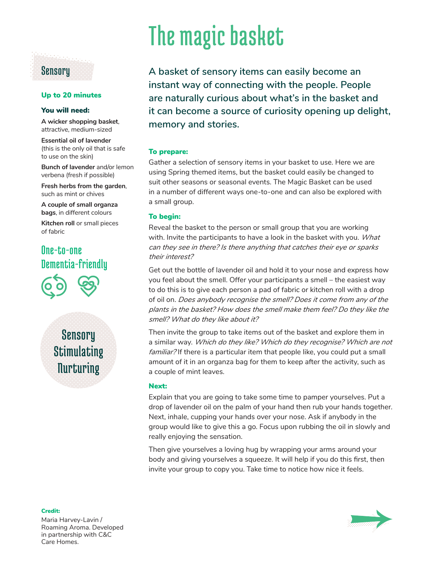# **Sensory**

### Up to 20 minutes

#### You will need:

**A wicker shopping basket**, attractive, medium-sized

**Essential oil of lavender** (this is the only oil that is safe to use on the skin)

**Bunch of lavender** and/or lemon verbena (fresh if possible)

**Fresh herbs from the garden**, such as mint or chives

**A couple of small organza bags**, in different colours

**Kitchen roll or small pieces** of fabric

# One-to-one Dementia-friendly



**Sensory Stimulating Nurturing** 

# The magic basket

**A basket of sensory items can easily become an instant way of connecting with the people. People are naturally curious about what's in the basket and it can become a source of curiosity opening up delight, memory and stories.**

#### To prepare:

Gather a selection of sensory items in your basket to use. Here we are using Spring themed items, but the basket could easily be changed to suit other seasons or seasonal events. The Magic Basket can be used in a number of different ways one-to-one and can also be explored with a small group.

#### To begin:

Reveal the basket to the person or small group that you are working with. Invite the participants to have a look in the basket with you. *What can they see in there? Is there anything that catches their eye or sparks their interest?*

Get out the bottle of lavender oil and hold it to your nose and express how you feel about the smell. Offer your participants a smell – the easiest way to do this is to give each person a pad of fabric or kitchen roll with a drop of oil on. *Does anybody recognise the smell? Does it come from any of the plants in the basket? How does the smell make them feel? Do they like the smell? What do they like about it?*

Then invite the group to take items out of the basket and explore them in a similar way. *Which do they like? Which do they recognise? Which are not familiar?* If there is a particular item that people like, you could put a small amount of it in an organza bag for them to keep after the activity, such as a couple of mint leaves.

#### Next:

Explain that you are going to take some time to pamper yourselves. Put a drop of lavender oil on the palm of your hand then rub your hands together. Next, inhale, cupping your hands over your nose. Ask if anybody in the group would like to give this a go. Focus upon rubbing the oil in slowly and really enjoying the sensation.

Then give yourselves a loving hug by wrapping your arms around your body and giving yourselves a squeeze. It will help if you do this first, then invite your group to copy you. Take time to notice how nice it feels.

Maria Harvey-Lavin / Roaming Aroma. Developed in partnership with C&C Care Homes.

Credit: